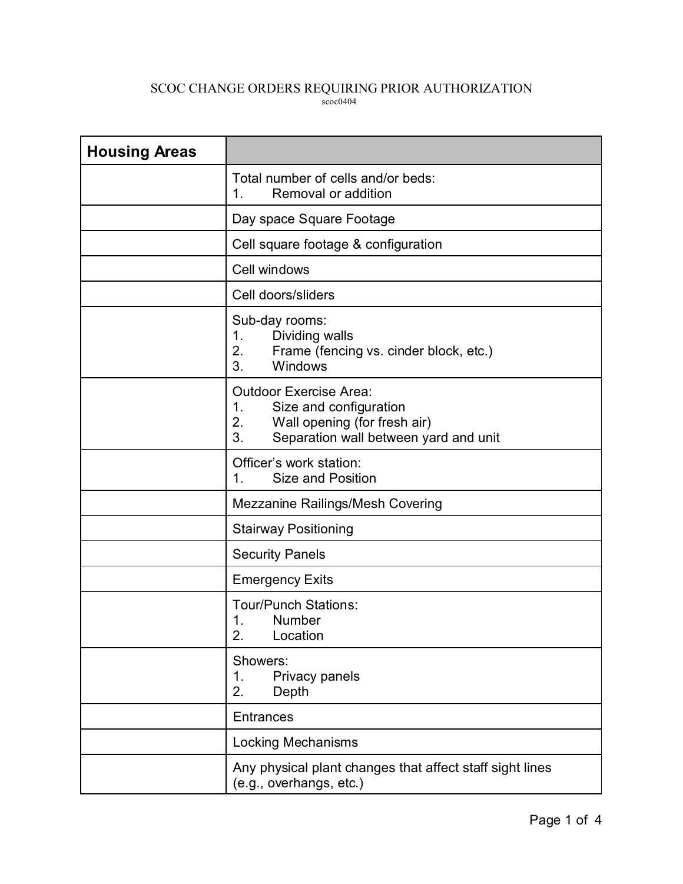## SCOC CHANGE ORDERS REQUIRING PRIOR AUTHORIZATION scoc0404

| <b>Housing Areas</b> |                                                                                                                                                    |
|----------------------|----------------------------------------------------------------------------------------------------------------------------------------------------|
|                      | Total number of cells and/or beds:<br>Removal or addition<br>1.                                                                                    |
|                      | Day space Square Footage                                                                                                                           |
|                      | Cell square footage & configuration                                                                                                                |
|                      | Cell windows                                                                                                                                       |
|                      | Cell doors/sliders                                                                                                                                 |
|                      | Sub-day rooms:<br>Dividing walls<br>1.<br>2.<br>Frame (fencing vs. cinder block, etc.)<br>Windows<br>3.                                            |
|                      | <b>Outdoor Exercise Area:</b><br>Size and configuration<br>1.<br>2.<br>Wall opening (for fresh air)<br>3.<br>Separation wall between yard and unit |
|                      | Officer's work station:<br><b>Size and Position</b><br>1.                                                                                          |
|                      | <b>Mezzanine Railings/Mesh Covering</b>                                                                                                            |
|                      | <b>Stairway Positioning</b>                                                                                                                        |
|                      | <b>Security Panels</b>                                                                                                                             |
|                      | <b>Emergency Exits</b>                                                                                                                             |
|                      | <b>Tour/Punch Stations:</b><br>1.<br>Number<br>2.<br>Location                                                                                      |
|                      | Showers:<br>Privacy panels<br>1.<br>2.<br>Depth                                                                                                    |
|                      | <b>Entrances</b>                                                                                                                                   |
|                      | Locking Mechanisms                                                                                                                                 |
|                      | Any physical plant changes that affect staff sight lines<br>(e.g., overhangs, etc.)                                                                |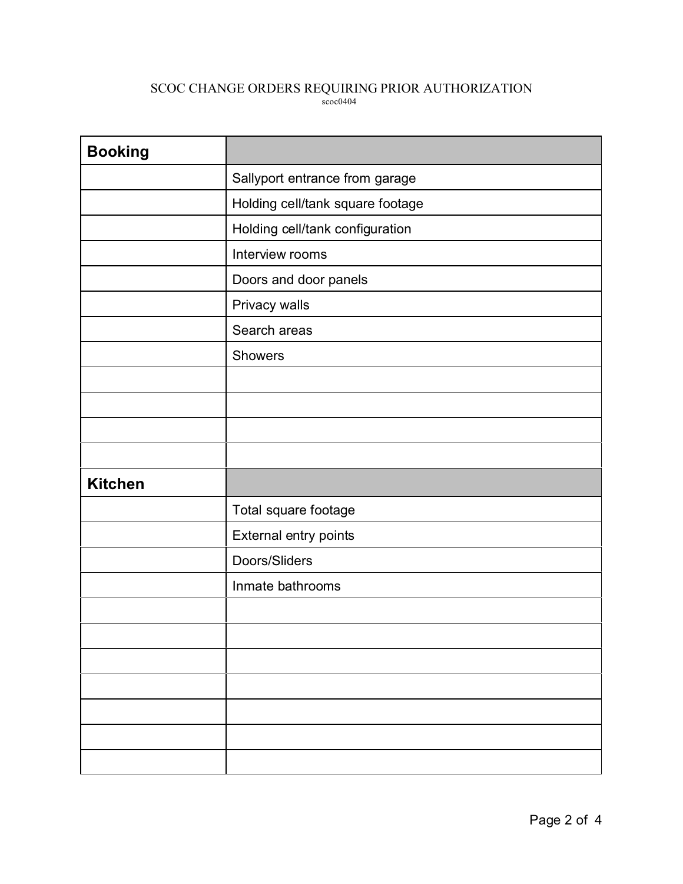## SCOC CHANGE ORDERS REQUIRING PRIOR AUTHORIZATION scoc0404

| <b>Booking</b> |                                  |
|----------------|----------------------------------|
|                | Sallyport entrance from garage   |
|                | Holding cell/tank square footage |
|                | Holding cell/tank configuration  |
|                | Interview rooms                  |
|                | Doors and door panels            |
|                | Privacy walls                    |
|                | Search areas                     |
|                | Showers                          |
|                |                                  |
|                |                                  |
|                |                                  |
|                |                                  |
| <b>Kitchen</b> |                                  |
|                | Total square footage             |
|                | External entry points            |
|                | Doors/Sliders                    |
|                | Inmate bathrooms                 |
|                |                                  |
|                |                                  |
|                |                                  |
|                |                                  |
|                |                                  |
|                |                                  |
|                |                                  |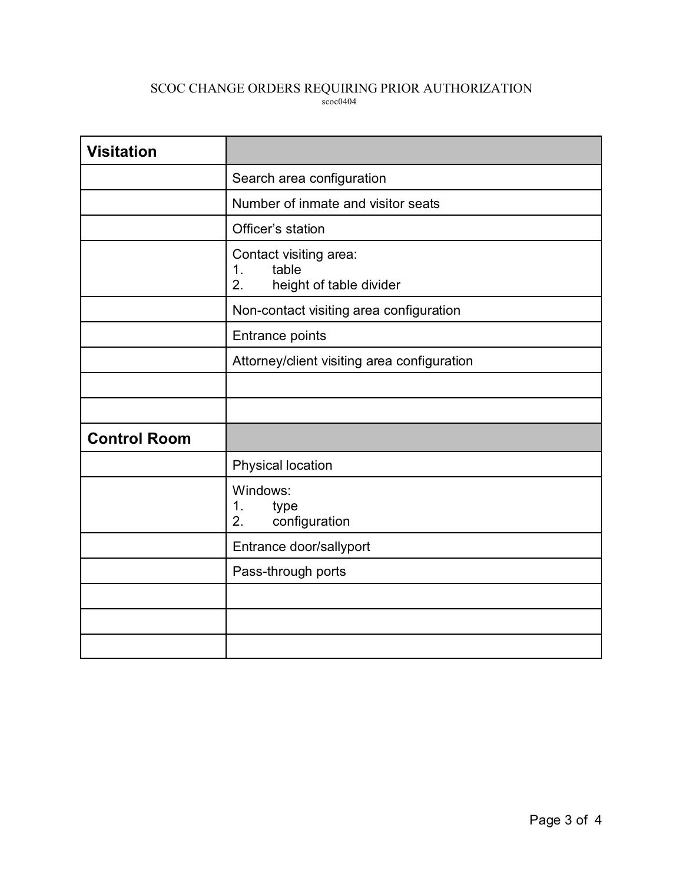## SCOC CHANGE ORDERS REQUIRING PRIOR AUTHORIZATION scoc0404

| <b>Visitation</b>   |                                                                        |
|---------------------|------------------------------------------------------------------------|
|                     | Search area configuration                                              |
|                     | Number of inmate and visitor seats                                     |
|                     | Officer's station                                                      |
|                     | Contact visiting area:<br>table<br>1.<br>2.<br>height of table divider |
|                     | Non-contact visiting area configuration                                |
|                     | Entrance points                                                        |
|                     | Attorney/client visiting area configuration                            |
|                     |                                                                        |
|                     |                                                                        |
| <b>Control Room</b> |                                                                        |
|                     | Physical location                                                      |
|                     | Windows:<br>1.<br>type<br>configuration<br>2.                          |
|                     | Entrance door/sallyport                                                |
|                     | Pass-through ports                                                     |
|                     |                                                                        |
|                     |                                                                        |
|                     |                                                                        |